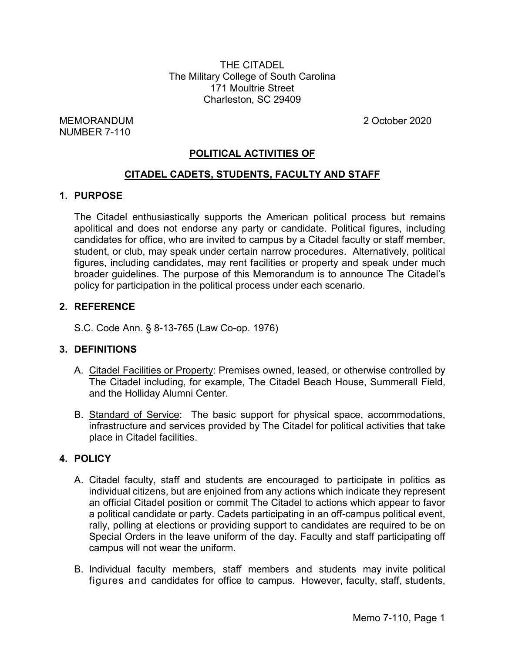THE CITADEL The Military College of South Carolina 171 Moultrie Street Charleston, SC 29409

MEMORANDUM 2 October 2020 NUMBER 7-110

# **POLITICAL ACTIVITIES OF**

## **CITADEL CADETS, STUDENTS, FACULTY AND STAFF**

### **1. PURPOSE**

The Citadel enthusiastically supports the American political process but remains apolitical and does not endorse any party or candidate. Political figures, including candidates for office, who are invited to campus by a Citadel faculty or staff member, student, or club, may speak under certain narrow procedures. Alternatively, political figures, including candidates, may rent facilities or property and speak under much broader guidelines. The purpose of this Memorandum is to announce The Citadel's policy for participation in the political process under each scenario.

## **2. REFERENCE**

S.C. Code Ann. § 8-13-765 (Law Co-op. 1976)

### **3. DEFINITIONS**

- A. Citadel Facilities or Property: Premises owned, leased, or otherwise controlled by The Citadel including, for example, The Citadel Beach House, Summerall Field, and the Holliday Alumni Center.
- B. Standard of Service: The basic support for physical space, accommodations, infrastructure and services provided by The Citadel for political activities that take place in Citadel facilities.

### **4. POLICY**

- A. Citadel faculty, staff and students are encouraged to participate in politics as individual citizens, but are enjoined from any actions which indicate they represent an official Citadel position or commit The Citadel to actions which appear to favor a political candidate or party. Cadets participating in an off-campus political event, rally, polling at elections or providing support to candidates are required to be on Special Orders in the leave uniform of the day. Faculty and staff participating off campus will not wear the uniform.
- B. Individual faculty members, staff members and students may invite political figures and candidates for office to campus. However, faculty, staff, students,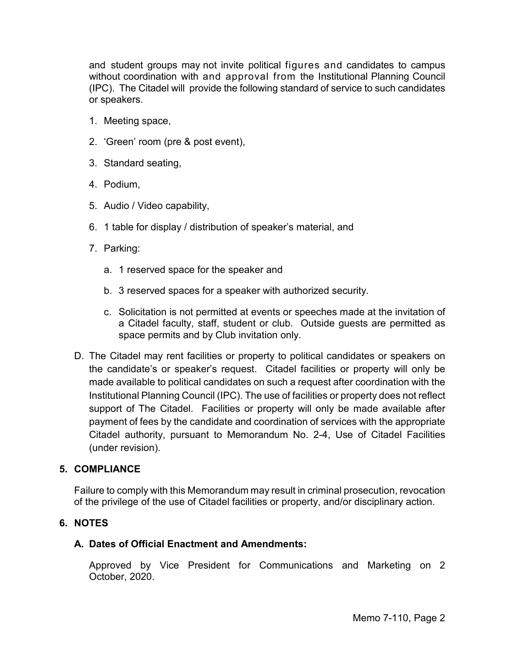and student groups may not invite political figures and candidates to campus without coordination with and approval from the Institutional Planning Council (IPC). The Citadel will provide the following standard of service to such candidates or speakers.

- 1. Meeting space,
- 2. 'Green' room (pre & post event),
- 3. Standard seating,
- 4. Podium,
- 5. Audio / Video capability,
- 6. 1 table for display / distribution of speaker's material, and
- 7. Parking:
	- a. 1 reserved space for the speaker and
	- b. 3 reserved spaces for a speaker with authorized security.
	- c. Solicitation is not permitted at events or speeches made at the invitation of a Citadel faculty, staff, student or club. Outside guests are permitted as space permits and by Club invitation only.
- D. The Citadel may rent facilities or property to political candidates or speakers on the candidate's or speaker's request. Citadel facilities or property will only be made available to political candidates on such a request after coordination with the Institutional Planning Council (IPC). The use of facilities or property does not reflect support of The Citadel. Facilities or property will only be made available after payment of fees by the candidate and coordination of services with the appropriate Citadel authority, pursuant to Memorandum No. 2-4, Use of Citadel Facilities (under revision).

## **5. COMPLIANCE**

Failure to comply with this Memorandum may result in criminal prosecution, revocation of the privilege of the use of Citadel facilities or property, and/or disciplinary action.

## **6. NOTES**

### **A. Dates of Official Enactment and Amendments:**

Approved by Vice President for Communications and Marketing on 2 October, 2020.